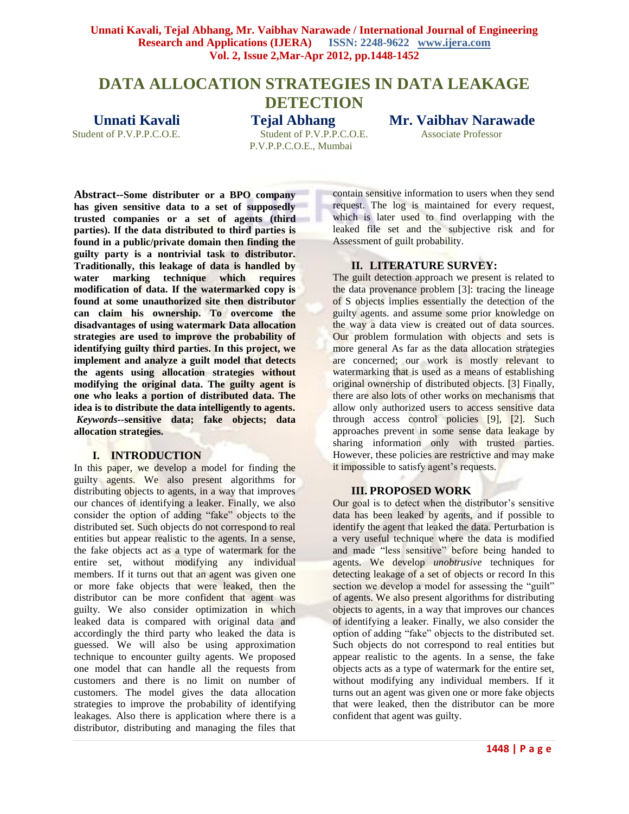# **DATA ALLOCATION STRATEGIES IN DATA LEAKAGE**

**DETECTION** 

Student of P.V.P.P.C.O.E. Student of P.V.P.P.C.O.E. Associate Professor P.V.P.P.C.O.E., Mumbai

## **Unnati Kavali Tejal Abhang Mr. Vaibhav Narawade**

**Abstract--Some distributer or a BPO company has given sensitive data to a set of supposedly trusted companies or a set of agents (third parties). If the data distributed to third parties is found in a public/private domain then finding the guilty party is a nontrivial task to distributor. Traditionally, this leakage of data is handled by water marking technique which requires modification of data. If the watermarked copy is found at some unauthorized site then distributor can claim his ownership. To overcome the disadvantages of using watermark Data allocation strategies are used to improve the probability of identifying guilty third parties. In this project, we implement and analyze a guilt model that detects the agents using allocation strategies without modifying the original data. The guilty agent is one who leaks a portion of distributed data. The idea is to distribute the data intelligently to agents.** *Keywords--***sensitive data; fake objects; data allocation strategies.**

#### **I. INTRODUCTION**

In this paper, we develop a model for finding the guilty agents. We also present algorithms for distributing objects to agents, in a way that improves our chances of identifying a leaker. Finally, we also consider the option of adding "fake" objects to the distributed set. Such objects do not correspond to real entities but appear realistic to the agents. In a sense, the fake objects act as a type of watermark for the entire set, without modifying any individual members. If it turns out that an agent was given one or more fake objects that were leaked, then the distributor can be more confident that agent was guilty. We also consider optimization in which leaked data is compared with original data and accordingly the third party who leaked the data is guessed. We will also be using approximation technique to encounter guilty agents. We proposed one model that can handle all the requests from customers and there is no limit on number of customers. The model gives the data allocation strategies to improve the probability of identifying leakages. Also there is application where there is a distributor, distributing and managing the files that

contain sensitive information to users when they send request. The log is maintained for every request, which is later used to find overlapping with the leaked file set and the subjective risk and for Assessment of guilt probability.

## **II. LITERATURE SURVEY:**

The guilt detection approach we present is related to the data provenance problem [3]: tracing the lineage of S objects implies essentially the detection of the guilty agents. and assume some prior knowledge on the way a data view is created out of data sources. Our problem formulation with objects and sets is more general As far as the data allocation strategies are concerned; our work is mostly relevant to watermarking that is used as a means of establishing original ownership of distributed objects. [3] Finally, there are also lots of other works on mechanisms that allow only authorized users to access sensitive data through access control policies [9], [2]. Such approaches prevent in some sense data leakage by sharing information only with trusted parties. However, these policies are restrictive and may make it impossible to satisfy agent's requests.

## **III. PROPOSED WORK**

Our goal is to detect when the distributor's sensitive data has been leaked by agents, and if possible to identify the agent that leaked the data. Perturbation is a very useful technique where the data is modified and made "less sensitive" before being handed to agents. We develop *unobtrusive* techniques for detecting leakage of a set of objects or record In this section we develop a model for assessing the "guilt" of agents. We also present algorithms for distributing objects to agents, in a way that improves our chances of identifying a leaker. Finally, we also consider the option of adding "fake" objects to the distributed set. Such objects do not correspond to real entities but appear realistic to the agents. In a sense, the fake objects acts as a type of watermark for the entire set, without modifying any individual members. If it turns out an agent was given one or more fake objects that were leaked, then the distributor can be more confident that agent was guilty.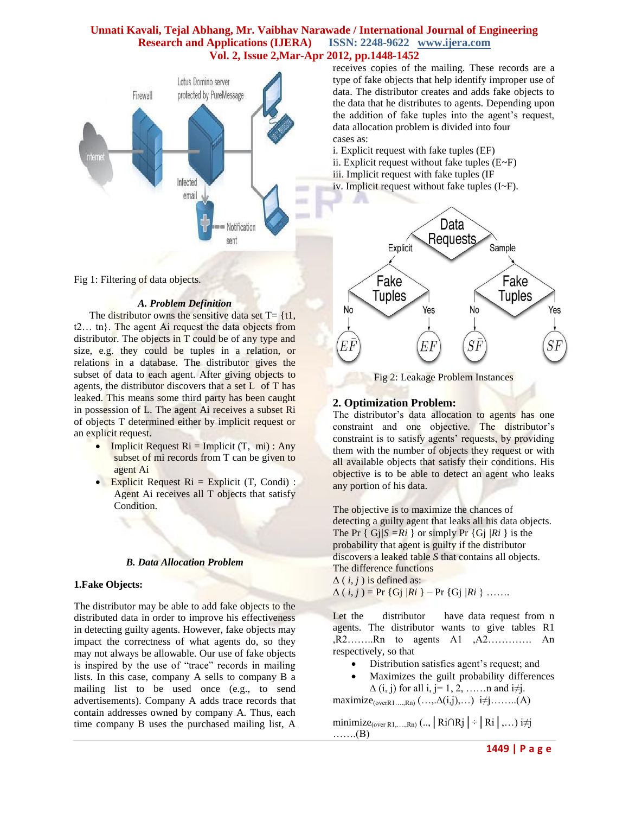

Fig 1: Filtering of data objects.

#### *A. Problem Definition*

The distributor owns the sensitive data set  $T = \{t\}$ . t2… tn}. The agent Ai request the data objects from distributor. The objects in T could be of any type and size, e.g. they could be tuples in a relation, or relations in a database. The distributor gives the subset of data to each agent. After giving objects to agents, the distributor discovers that a set L of T has leaked. This means some third party has been caught in possession of L. The agent Ai receives a subset Ri of objects T determined either by implicit request or an explicit request.

- Implicit Request  $\text{R}i = \text{Implicit}(\text{T}, \text{mi}): \text{Any}$ subset of mi records from T can be given to agent Ai
- Explicit Request  $\text{Ri} = \text{Explicit}$  (T, Condi) : Agent Ai receives all T objects that satisfy Condition.

#### *B. Data Allocation Problem*

#### **1.Fake Objects:**

The distributor may be able to add fake objects to the distributed data in order to improve his effectiveness in detecting guilty agents. However, fake objects may impact the correctness of what agents do, so they may not always be allowable. Our use of fake objects is inspired by the use of "trace" records in mailing lists. In this case, company A sells to company B a mailing list to be used once (e.g., to send advertisements). Company A adds trace records that contain addresses owned by company A. Thus, each time company B uses the purchased mailing list, A

receives copies of the mailing. These records are a type of fake objects that help identify improper use of data. The distributor creates and adds fake objects to the data that he distributes to agents. Depending upon the addition of fake tuples into the agent's request, data allocation problem is divided into four cases as:

i. Explicit request with fake tuples (EF)

- ii. Explicit request without fake tuples  $(E-F)$
- iii. Implicit request with fake tuples (IF
- iv. Implicit request without fake tuples (I~F).



Fig 2: Leakage Problem Instances

## **2. Optimization Problem:**

The distributor's data allocation to agents has one constraint and one objective. The distributor's constraint is to satisfy agents' requests, by providing them with the number of objects they request or with all available objects that satisfy their conditions. His objective is to be able to detect an agent who leaks any portion of his data.

The objective is to maximize the chances of detecting a guilty agent that leaks all his data objects. The Pr  $\{ Gj/S = Ri \}$  or simply Pr  $\{ Gj/Ri \}$  is the probability that agent is guilty if the distributor discovers a leaked table *S* that contains all objects. The difference functions  $\Delta$  (*i, j*) is defined as:  $\Delta(i, j) = Pr \{Gj/Ri\} - Pr \{Gj/Ri\}$  …….

Let the distributor have data request from n agents. The distributor wants to give tables R1 ,R2……..Rn to agents A1 ,A2…………. An respectively, so that

- Distribution satisfies agent's request; and
- Maximizes the guilt probability differences  $\Delta$  (i, j) for all i, j= 1, 2, ……n and i≠j.

maximize<sub>(overR1….,Rn)</sub>  $(..., \Delta(i,j),...)$  i≠j……..(A)

minimize<sub>(over R1,…,Rn)</sub> (.., | Ri∩Rj | ÷ | Ri | ,...) i≠j …….(B)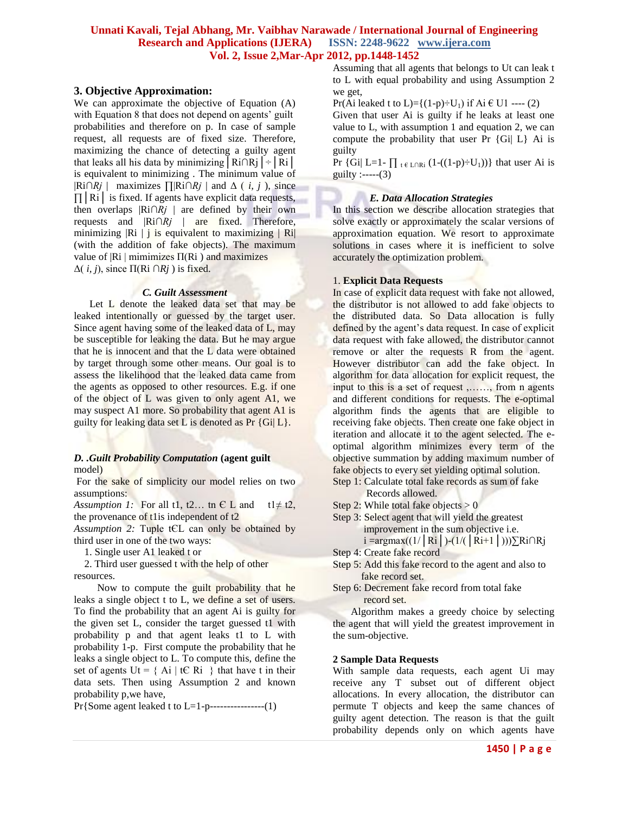## **3. Objective Approximation:**

We can approximate the objective of Equation (A) with Equation 8 that does not depend on agents' guilt probabilities and therefore on p. In case of sample request, all requests are of fixed size. Therefore, maximizing the chance of detecting a guilty agent that leaks all his data by minimizing  $|Ri \cap Rj|$  ÷  $|Ri|$ is equivalent to minimizing . The minimum value of |Ri*∩Rj* | maximizes ∏|Ri*∩Rj* | and Δ ( *i, j* ), since  $\Pi$ |Ri| is fixed. If agents have explicit data requests, then overlaps |Ri*∩Rj* | are defined by their own requests and |Ri*∩Rj* | are fixed. Therefore, minimizing  $|R_i|$  is equivalent to maximizing  $|R_i|$ (with the addition of fake objects). The maximum value of  $|R_i|$  mimimizes  $\Pi(R_i)$  and maximizes  $Δ(i, j)$ , since  $\Pi(Ri \cap Rj)$  is fixed.

#### *C. Guilt Assessment*

Let L denote the leaked data set that may be leaked intentionally or guessed by the target user. Since agent having some of the leaked data of L, may be susceptible for leaking the data. But he may argue that he is innocent and that the L data were obtained by target through some other means. Our goal is to assess the likelihood that the leaked data came from the agents as opposed to other resources. E.g. if one of the object of L was given to only agent A1, we may suspect A1 more. So probability that agent A1 is guilty for leaking data set L is denoted as  $Pr \{G_i | L\}$ .

#### *D. .Guilt Probability Computation* **(agent guilt** model)

For the sake of simplicity our model relies on two assumptions:

*Assumption 1:* For all t1, t2... tn  $E$  L and t1 $\neq$  t2, the provenance of the independent of  $t2$ 

*Assumption 2:* Tuple tЄL can only be obtained by third user in one of the two ways:

1. Single user A1 leaked t or

 2. Third user guessed t with the help of other resources.

 Now to compute the guilt probability that he leaks a single object t to L, we define a set of users. To find the probability that an agent Ai is guilty for the given set L, consider the target guessed t1 with probability p and that agent leaks t1 to L with probability 1-p. First compute the probability that he leaks a single object to L. To compute this, define the set of agents  $Ut = \{ Ai \mid tC \}$  that have t in their data sets. Then using Assumption 2 and known probability p,we have,

Pr{Some agent leaked t to L=1-p----------------(1)

Assuming that all agents that belongs to Ut can leak t to L with equal probability and using Assumption 2 we get,

Pr(Ai leaked t to L)={ $(1-p)$ ÷U<sub>1</sub>) if Ai € U1 ---- (2) Given that user Ai is guilty if he leaks at least one value to L, with assumption 1 and equation 2, we can compute the probability that user Pr  $\{Gi | L\}$  Ai is guilty

Pr {Gi| L=1-  $\prod_{t \in L \cap Ri} (1-(1-p)\div U_1)$ } that user Ai is guilty :-----(3)

#### *E. Data Allocation Strategies*

In this section we describe allocation strategies that solve exactly or approximately the scalar versions of approximation equation. We resort to approximate solutions in cases where it is inefficient to solve accurately the optimization problem.

## 1. **Explicit Data Requests**

In case of explicit data request with fake not allowed, the distributor is not allowed to add fake objects to the distributed data. So Data allocation is fully defined by the agent's data request. In case of explicit data request with fake allowed, the distributor cannot remove or alter the requests R from the agent. However distributor can add the fake object. In algorithm for data allocation for explicit request, the input to this is a set of request ,……, from n agents and different conditions for requests. The e-optimal algorithm finds the agents that are eligible to receiving fake objects. Then create one fake object in iteration and allocate it to the agent selected. The eoptimal algorithm minimizes every term of the objective summation by adding maximum number of fake objects to every set yielding optimal solution.

- Step 1: Calculate total fake records as sum of fake Records allowed.
- Step 2: While total fake objects  $> 0$
- Step 3: Select agent that will yield the greatest improvement in the sum objective i.e. i =argmax((1/ $\vert$ Ri $\vert$ )-(1/( $\vert$ Ri+1 $\vert$ )))∑Ri∩Rj
- Step 4: Create fake record
- Step 5: Add this fake record to the agent and also to fake record set.
- Step 6: Decrement fake record from total fake record set.

 Algorithm makes a greedy choice by selecting the agent that will yield the greatest improvement in the sum-objective.

#### **2 Sample Data Requests**

With sample data requests, each agent Ui may receive any T subset out of different object allocations. In every allocation, the distributor can permute T objects and keep the same chances of guilty agent detection. The reason is that the guilt probability depends only on which agents have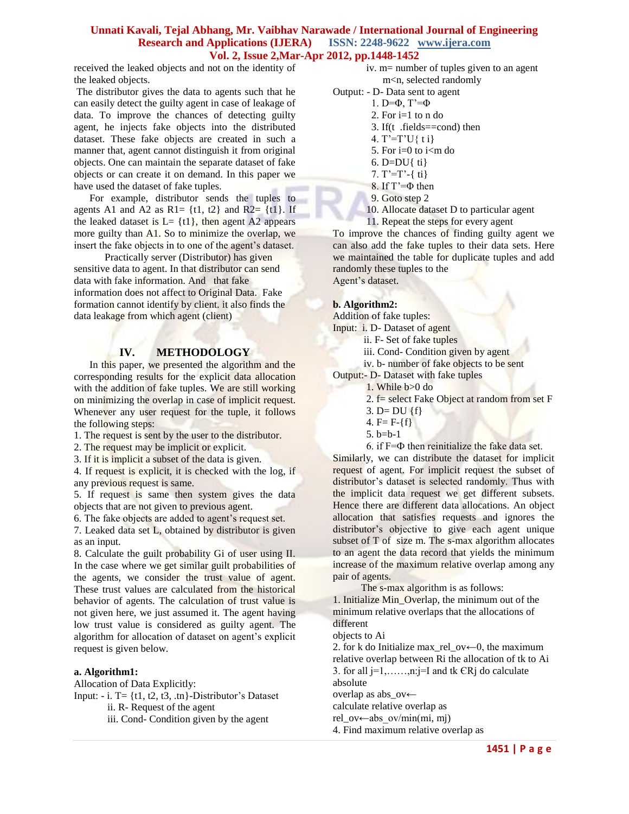received the leaked objects and not on the identity of the leaked objects.

The distributor gives the data to agents such that he can easily detect the guilty agent in case of leakage of data. To improve the chances of detecting guilty agent, he injects fake objects into the distributed dataset. These fake objects are created in such a manner that, agent cannot distinguish it from original objects. One can maintain the separate dataset of fake objects or can create it on demand. In this paper we have used the dataset of fake tuples.

 For example, distributor sends the tuples to agents A1 and A2 as R1=  $\{t1, t2\}$  and R2=  $\{t1\}$ . If the leaked dataset is  $L = \{t1\}$ , then agent A2 appears more guilty than A1. So to minimize the overlap, we insert the fake objects in to one of the agent's dataset.

 Practically server (Distributor) has given sensitive data to agent. In that distributor can send data with fake information. And that fake information does not affect to Original Data. Fake formation cannot identify by client. it also finds the data leakage from which agent (client)

## **IV. METHODOLOGY**

 In this paper, we presented the algorithm and the corresponding results for the explicit data allocation with the addition of fake tuples. We are still working on minimizing the overlap in case of implicit request. Whenever any user request for the tuple, it follows the following steps:

1. The request is sent by the user to the distributor.

2. The request may be implicit or explicit.

3. If it is implicit a subset of the data is given.

4. If request is explicit, it is checked with the log, if any previous request is same.

5. If request is same then system gives the data objects that are not given to previous agent.

6. The fake objects are added to agent's request set.

7. Leaked data set L, obtained by distributor is given as an input.

8. Calculate the guilt probability Gi of user using II. In the case where we get similar guilt probabilities of the agents, we consider the trust value of agent. These trust values are calculated from the historical behavior of agents. The calculation of trust value is not given here, we just assumed it. The agent having low trust value is considered as guilty agent. The algorithm for allocation of dataset on agent's explicit request is given below.

## **a. Algorithm1:**

Allocation of Data Explicitly:

Input:  $-i$ . T= {t1, t2, t3, .tn}-Distributor's Dataset ii. R- Request of the agent

iii. Cond- Condition given by the agent

### iv. m= number of tuples given to an agent m<n, selected randomly

Output: - D- Data sent to agent

- 1. D= $\Phi$ , T'= $\Phi$
- 2. For  $i=1$  to n do
	- 3. If(t .fields==cond) then
	- 4. T'=T'U{ t i}
	- 5. For  $i=0$  to  $i<$ m do
	- 6. D=DU{  $ti$ }
	- 7.  $T'=T'-\{t\}$
	- 8. If T'=Φ then
	- 9. Goto step 2
- 10. Allocate dataset D to particular agent

 11. Repeat the steps for every agent To improve the chances of finding guilty agent we can also add the fake tuples to their data sets. Here we maintained the table for duplicate tuples and add randomly these tuples to the Agent's dataset.

## **b. Algorithm2:**

Addition of fake tuples:

Input: i. D- Dataset of agent

- ii. F- Set of fake tuples
- iii. Cond- Condition given by agent
- iv. b- number of fake objects to be sent

Output:- D- Dataset with fake tuples

- 1. While b>0 do
	- 2. f= select Fake Object at random from set F
	- 3. D=  $DU$  {f}
	- 4.  $F = F \{f\}$
	- 5. b=b-1
- 6. if F=Ф then reinitialize the fake data set.

Similarly, we can distribute the dataset for implicit request of agent. For implicit request the subset of distributor's dataset is selected randomly. Thus with the implicit data request we get different subsets. Hence there are different data allocations. An object allocation that satisfies requests and ignores the distributor's objective to give each agent unique subset of T of size m. The s-max algorithm allocates to an agent the data record that yields the minimum increase of the maximum relative overlap among any pair of agents.

The s-max algorithm is as follows:

1. Initialize Min\_Overlap, the minimum out of the minimum relative overlaps that the allocations of different

objects to Ai

2. for k do Initialize max\_rel\_ov $\leftarrow$ 0, the maximum relative overlap between Ri the allocation of tk to Ai 3. for all  $j=1, \ldots, n$ :  $j=I$  and tk  $\in$ R $j$  do calculate absolute

overlap as abs\_ov←

calculate relative overlap as

rel\_ov←abs\_ov/min(mi, mj)

4. Find maximum relative overlap as